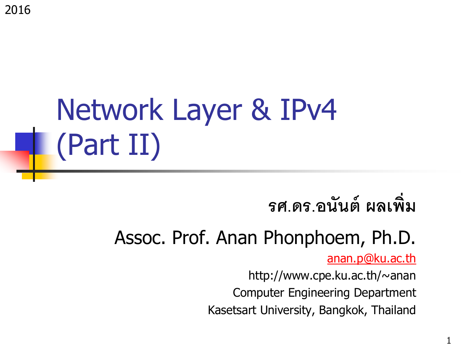2016

## Network Layer & IPv4 (Part II)

### **รศ.ดร.อนันต์ผลเพิ่ม**

#### Assoc. Prof. Anan Phonphoem, Ph.D.

[anan.p@ku.ac.th](mailto:anan.p@cpe.ku.ac.th)

http://www.cpe.ku.ac.th/~anan Computer Engineering Department Kasetsart University, Bangkok, Thailand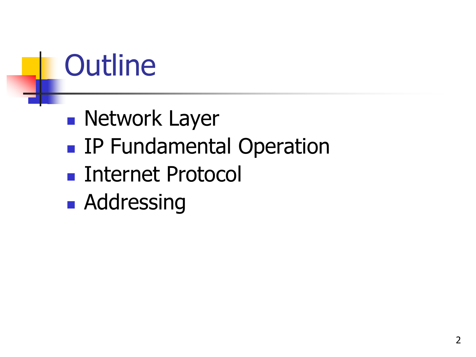### **Outline**

- **Network Layer**
- **IP Fundamental Operation**
- Internet Protocol
- **Addressing**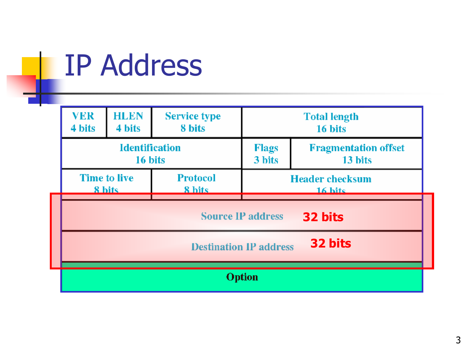### IP Address

|  | <b>VER</b><br><b>HLEN</b><br><b>Service type</b><br>4 bits<br>4 bits<br>8 bits<br><b>Identification</b><br>Flags<br>3 bits<br>16 bits |  | <b>Total length</b><br>16 bits         |  |  |  |  |  |
|--|---------------------------------------------------------------------------------------------------------------------------------------|--|----------------------------------------|--|--|--|--|--|
|  |                                                                                                                                       |  | <b>Fragmentation offset</b><br>13 bits |  |  |  |  |  |
|  | <b>Time to live</b><br><b>Protocol</b><br>8 bits<br>8 hits                                                                            |  | <b>Header checksum</b><br>$16$ hite    |  |  |  |  |  |
|  | <b>Source IP address</b><br>32 bits                                                                                                   |  |                                        |  |  |  |  |  |
|  | 32 bits<br><b>Destination IP address</b>                                                                                              |  |                                        |  |  |  |  |  |
|  |                                                                                                                                       |  |                                        |  |  |  |  |  |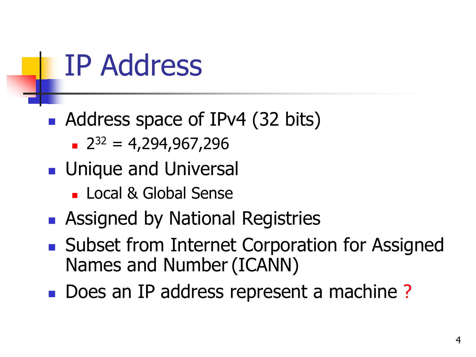IP Address

#### Address space of IPv4 (32 bits)

- $2^{32} = 4,294,967,296$
- **Unique and Universal** 
	- Local & Global Sense
- **Assigned by National Registries**
- Subset from Internet Corporation for Assigned Names and Number(ICANN)
- Does an IP address represent a machine?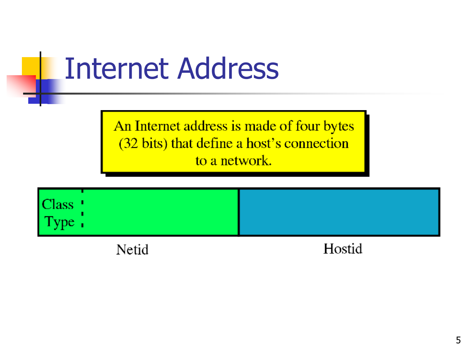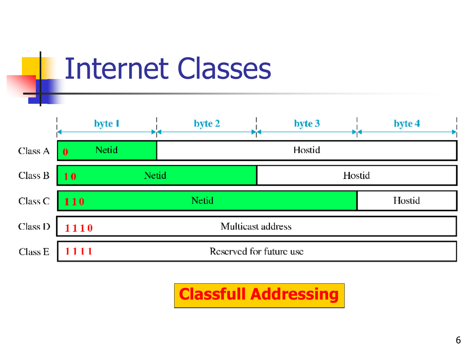

Internet Classes

**Classfull Addressing**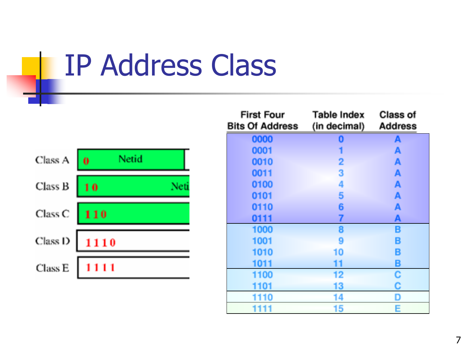IP Address Class

| Class A | Netid<br>0 |  |
|---------|------------|--|
| Class B | 10         |  |
| Class C | 110        |  |
| Class D | 1110       |  |
| Class E | 1111       |  |

| <b>First Four</b><br><b>Bits Of Address</b> | Table Index<br>(in decimal) | Class of<br><b>Address</b> |
|---------------------------------------------|-----------------------------|----------------------------|
| 0000                                        | 0                           | A                          |
| 0001                                        |                             | A                          |
| 0010                                        | 2                           | A                          |
| 0011                                        | 3                           | A                          |
| 0100                                        | 4                           | A                          |
| 0101                                        | 5                           | A                          |
| 0110                                        | 6                           | A                          |
| 0111                                        | 7                           | A                          |
| 1000                                        | 8                           | B                          |
| 1001                                        | 9                           | B                          |
| 1010                                        | 10                          | B                          |
| 1011                                        | 11                          | B                          |
| 1100                                        | 12                          | C                          |
| 1101                                        | 13                          | C                          |
| 10                                          | 14                          | D                          |
| 1111                                        | 15                          | E                          |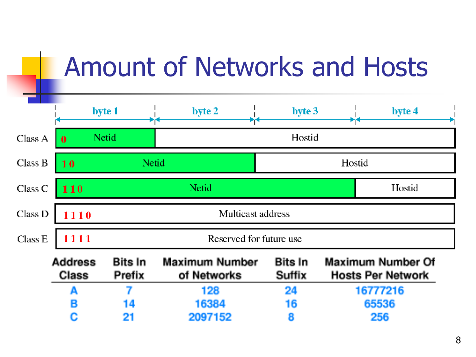|                    | <b>Amount of Networks and Hosts</b> |                          |                                      |                          |  |                                               |  |  |  |
|--------------------|-------------------------------------|--------------------------|--------------------------------------|--------------------------|--|-----------------------------------------------|--|--|--|
|                    |                                     | byte 1                   | byte 2                               | byte 3                   |  | byte 4                                        |  |  |  |
| Class A            | $\mathbf{0}$                        | Netid                    |                                      | Hostid                   |  |                                               |  |  |  |
| Class B            | 10                                  | Netid                    |                                      | Hostid                   |  |                                               |  |  |  |
| Class <sub>C</sub> | 110                                 |                          | Netid                                | Hostid                   |  |                                               |  |  |  |
| Class D            | 1110                                |                          | Multicast address                    |                          |  |                                               |  |  |  |
| Class E            | 1111                                |                          | Reserved for future use              |                          |  |                                               |  |  |  |
|                    | <b>Address</b><br><b>Class</b>      | <b>Bits In</b><br>Prefix | <b>Maximum Number</b><br>of Networks | <b>Bits In</b><br>Suffix |  | Maximum Number Of<br><b>Hosts Per Network</b> |  |  |  |
|                    | А                                   | 7                        | 128                                  | 24                       |  | 16777216                                      |  |  |  |
|                    | В                                   | 14                       | 16384                                | 16                       |  | 65536                                         |  |  |  |
|                    | c                                   | 21                       | 2097152                              | 8                        |  | 256                                           |  |  |  |

## Amount of Notworks and H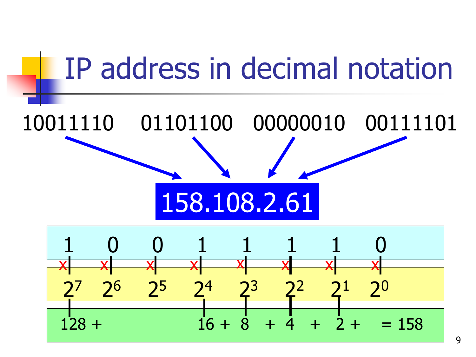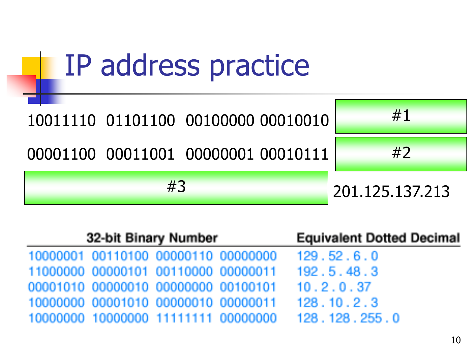

| 32-bit Binary Number                | <b>Equivalent Dotted Decimal</b>    |                                                   |
|-------------------------------------|-------------------------------------|---------------------------------------------------|
| 10000001 00110100 00000110 00000000 |                                     | 129.52.6.0                                        |
|                                     | 11000000 00000101 00110000 00000011 | 192.5.48.3                                        |
| 00001010 00000010 00000000 00100101 |                                     | 10.2.0.37                                         |
|                                     | 10000000 00001010 00000010 00000011 | 128.10.2.3                                        |
|                                     |                                     | 10000000 10000000 11111111 00000000 128.128.255.0 |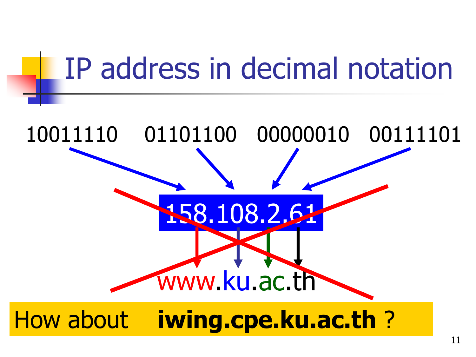# IP address in decimal notation 158.108.2.61 10011110 01101100 00000010 00111101 www.ku.ac.th How about **iwing.cpe.ku.ac.th** ?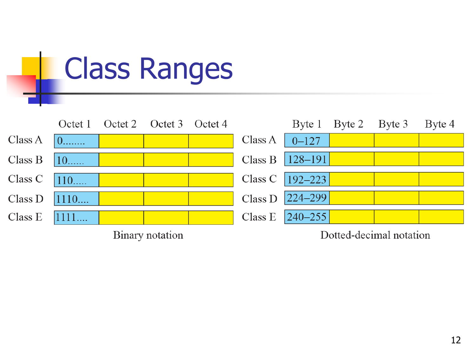|         | <b>Class Ranges</b> |  |                         |  |         |               |        |                         |        |  |
|---------|---------------------|--|-------------------------|--|---------|---------------|--------|-------------------------|--------|--|
|         | Octet 1             |  | Octet 2 Octet 3 Octet 4 |  |         | Byte 1        | Byte 2 | Byte 3                  | Byte 4 |  |
| Class A | $0$                 |  |                         |  | Class A | $0 - 127$     |        |                         |        |  |
| Class B | $10$                |  |                         |  | Class B | $ 128 - 191 $ |        |                         |        |  |
| Class C | $110$               |  |                         |  | Class C | $192 - 223$   |        |                         |        |  |
| Class D | 1110                |  |                         |  | Class D | $ 224 - 299 $ |        |                         |        |  |
| Class E | 1111                |  |                         |  | Class E | $ 240 - 255 $ |        |                         |        |  |
|         |                     |  | Binary notation         |  |         |               |        | Dotted-decimal notation |        |  |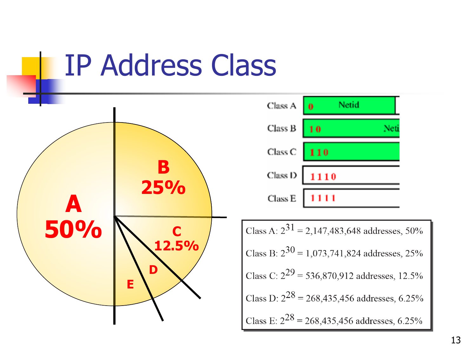### IP Address Class

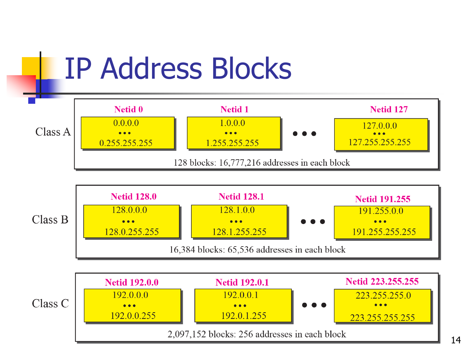

#### 14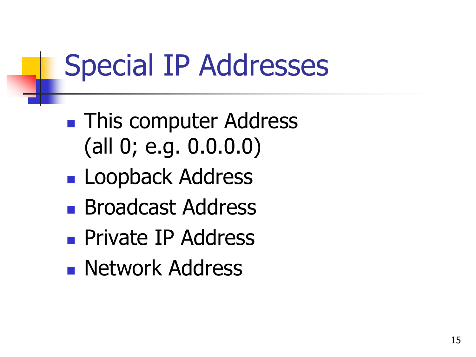### Special IP Addresses

- **This computer Address** (all 0; e.g. 0.0.0.0)
- **Loopback Address**
- **Broadcast Address**
- **Private IP Address**
- **Network Address**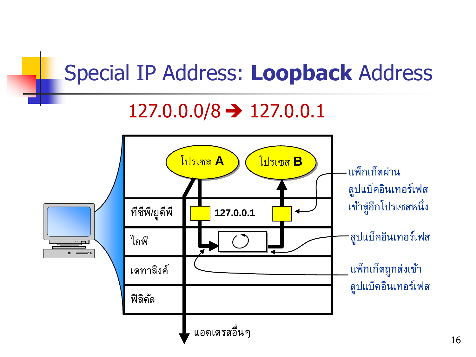#### Special IP Address: **Loopback** Address  $127.0.0.0/8 \rightarrow 127.0.0.1$ โโปปรรเเซซสส**AA** โโปปรรเเซซสส**BB** ี แพ็กเก็ตผ่าน ลปู แบค็อนิเทอรเ์ฟส เขา้สอู่ กีโปรเซสหน่ึง ทีซีพี/ยูดีพี **127.0.0.1** ลปู แบค็อนิเทอรเ์ฟส ไอพี  $\overline{\phantom{a}}$ แพ็กเก็ตถูกส่งเข้า เดทาลงิค์ ลปู แบค็อนิเทอรเ์ฟส ฟิสคิลั แอดเดรสอน่ืๆ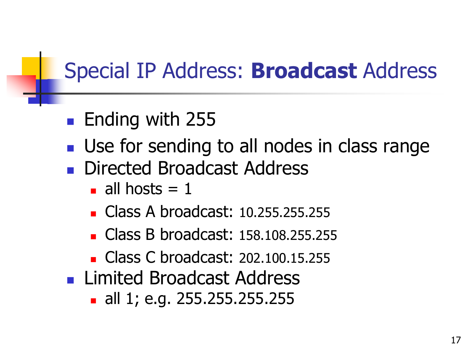### Special IP Address: **Broadcast** Address

- **Ending with 255**
- **Use for sending to all nodes in class range**
- Directed Broadcast Address
	- all hosts  $= 1$
	- Class A broadcast: 10.255.255.255
	- Class B broadcast: 158,108,255,255
	- Class C broadcast: 202.100.15.255
- **Limited Broadcast Address** 
	- all 1; e.g. 255.255.255.255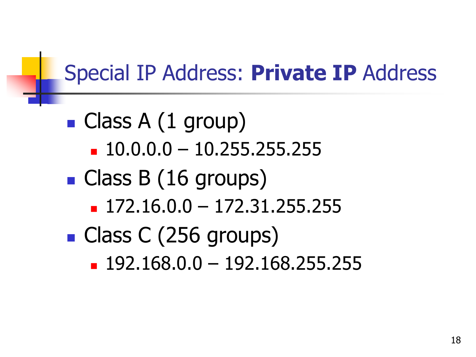### Special IP Address: **Private IP** Address

- Class A (1 group)
	- $10.0.0.0 10.255.255.255$
- Class B (16 groups)
	- $-172.16.0.0 172.31.255.255$
- Class C (256 groups)
	- $192.168.0.0 192.168.255.255$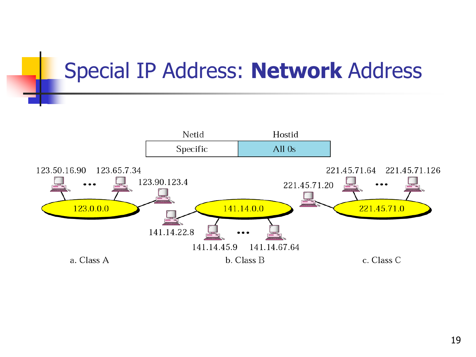#### Special IP Address: **Network** Address

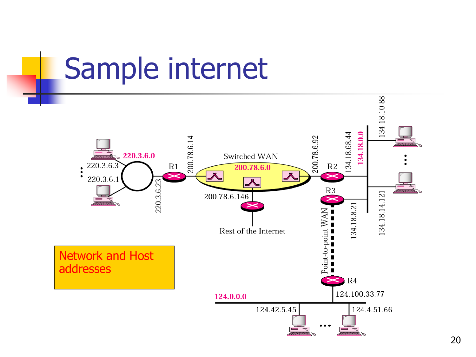#### Sample internet 134.18.10.88 134.18.0.0 134.18.68.44 200.78.6.92 200.78.6.14 220.3.6.0 Switched WAN 220.3.6.3  $R1$  $R2$ 200.78.6.0  $\ddot{\cdot}$ 220.3.6.1 220.3.6.23  $R3$  $2771W$ 134.18.14.121 200.78.6.146 134.18.8.21 Point-to-point WAN<br> $\blacksquare$   $\blacksquare$   $\blacksquare$   $\blacksquare$   $\blacksquare$   $\blacksquare$   $\blacksquare$   $\blacksquare$ Rest of the Internet Network and Host addresses $R4$ 124.100.33.77 124.0.0.0 124.42.5.45 124.4.51.66

#### 20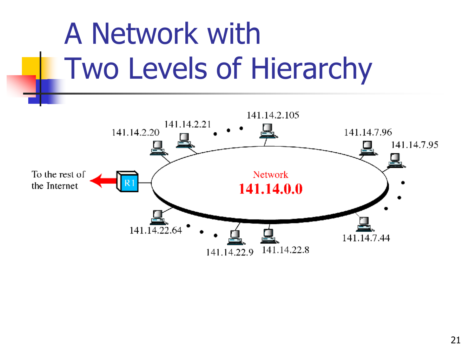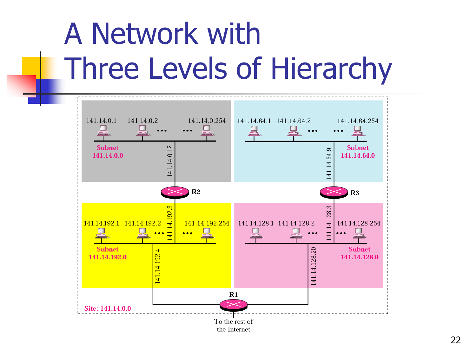## A Network with Three Levels of Hierarchy

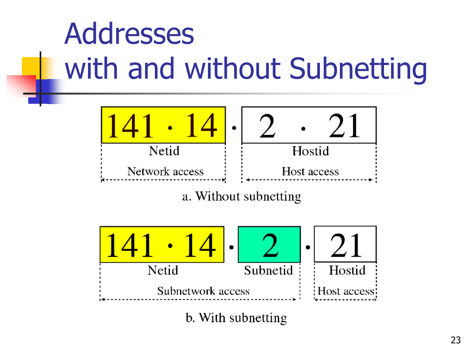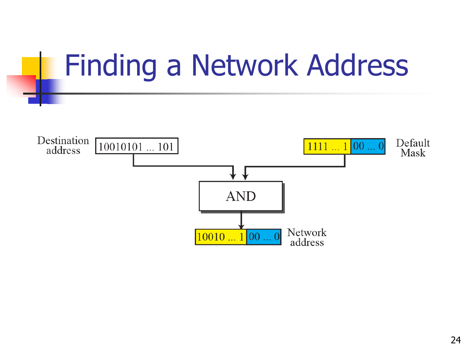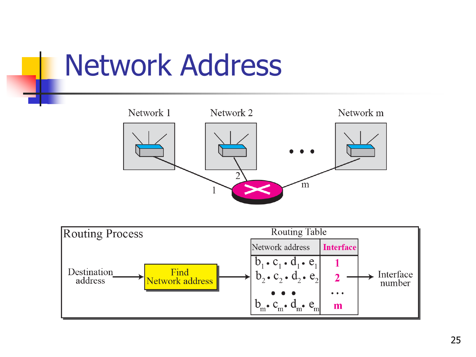### Network Address



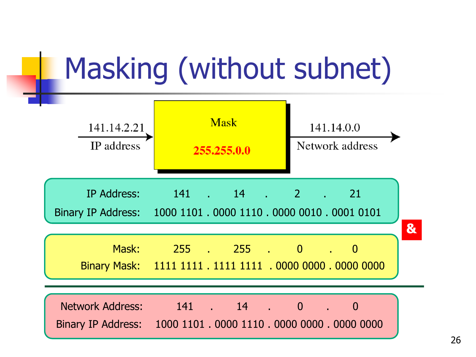### Masking (without subnet)

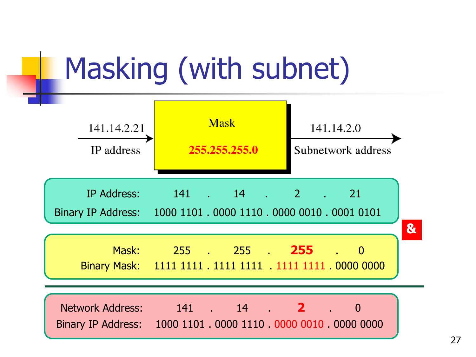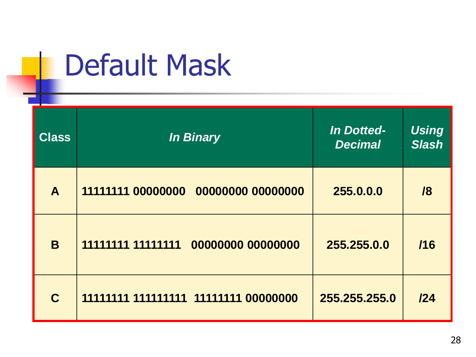### **Class** *In Binary In Dotted-Decimal Using Slash* **A 11111111 00000000 00000000 00000000 255.0.0.0 /8 B 11111111 11111111 00000000 00000000 255.255.0.0 /16 C 11111111 111111111 11111111 00000000 255.255.255.0 /24**

### Default Mask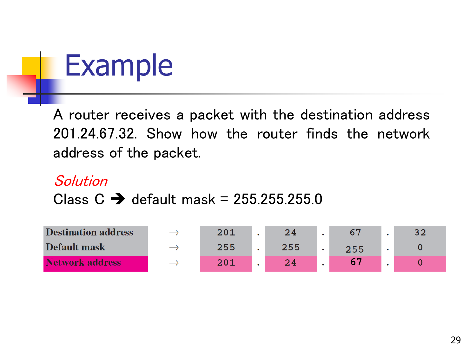

A router receives a packet with the destination address 201.24.67.32. Show how the router finds the network address of the packet.

#### SolutionClass  $C \rightarrow$  default mask = 255.255.255.0

| <b>Destination address</b> | $\rightarrow$ | 201 | 24  |     |  |
|----------------------------|---------------|-----|-----|-----|--|
| Default mask               |               | 255 | 255 | 255 |  |
| <b>Network address</b>     | $\rightarrow$ | 201 | 24  |     |  |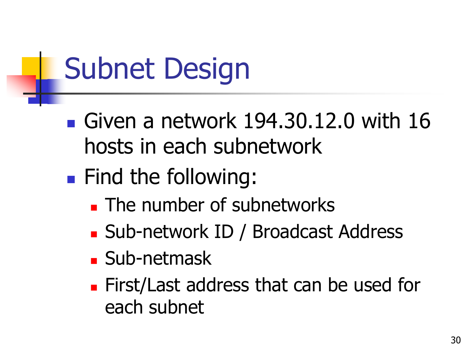### Subnet Design

- Given a network  $194.30.12.0$  with  $16$ hosts in each subnetwork
- **Find the following:** 
	- **The number of subnetworks**
	- Sub-network ID / Broadcast Address
	- Sub-netmask
	- First/Last address that can be used for each subnet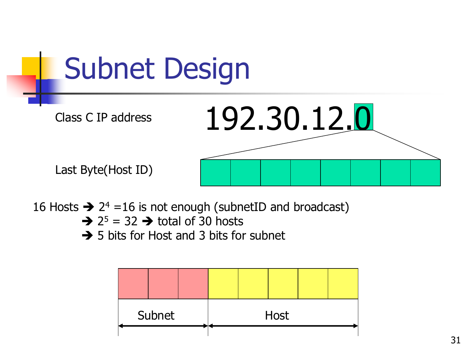

16 Hosts  $\rightarrow$  2<sup>4</sup> = 16 is not enough (subnetID and broadcast)

- $\rightarrow$  2<sup>5</sup> = 32  $\rightarrow$  total of 30 hosts
- $\rightarrow$  5 bits for Host and 3 bits for subnet

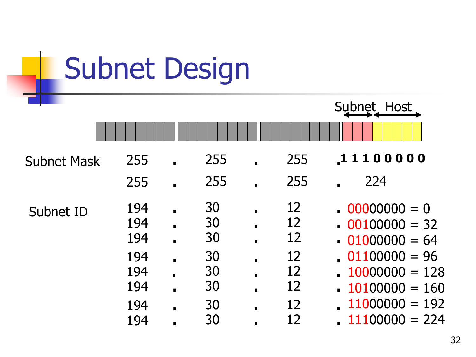| <b>Subnet Design</b> |                   |                                  |           |                |           |                                                      |
|----------------------|-------------------|----------------------------------|-----------|----------------|-----------|------------------------------------------------------|
|                      |                   |                                  |           |                |           | Subnet Host                                          |
| <b>Subnet Mask</b>   | 255               |                                  | 255       |                | 255       | 11100000                                             |
|                      | 255               |                                  | 255<br>30 |                | 255<br>12 | 224                                                  |
| Subnet ID            | 194<br>194<br>194 |                                  | 30<br>30  |                | 12<br>12  | $00000000 = 0$<br>$00100000 = 32$<br>$01000000 = 64$ |
|                      | 194<br>194        | $\blacksquare$                   | 30<br>30  |                | 12<br>12  | $01100000 = 96$<br>$10000000 = 128$                  |
|                      | 194               | $\blacksquare$<br>$\blacksquare$ | 30        | $\blacksquare$ | 12        | $10100000 = 160$                                     |
|                      | 194<br>194        | $\blacksquare$                   | 30<br>30  |                | 12<br>12  | $11000000 = 192$<br>$11100000 = 224$                 |